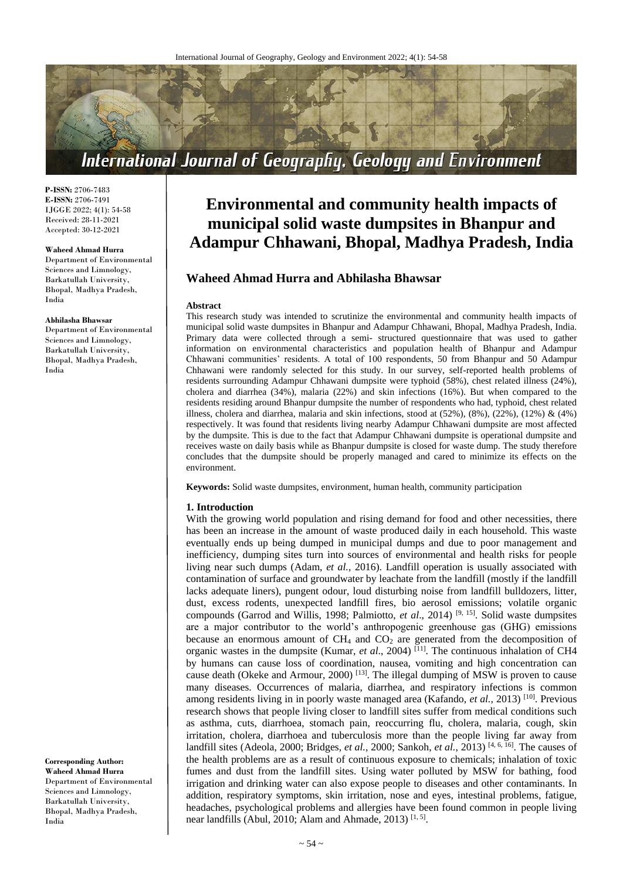

**P-ISSN:** 2706-7483 **E-ISSN:** 2706-7491 IJGGE 2022; 4(1): 54-58 Received: 28-11-2021 Accepted: 30-12-2021

#### **Waheed Ahmad Hurra**

Department of Environmental Sciences and Limnology, Barkatullah University, Bhopal, Madhya Pradesh, India

#### **Abhilasha Bhawsar**

Department of Environmental Sciences and Limnology, Barkatullah University, Bhopal, Madhya Pradesh, India

**Corresponding Author: Waheed Ahmad Hurra** Department of Environmental Sciences and Limnology, Barkatullah University, Bhopal, Madhya Pradesh, India

# **Environmental and community health impacts of municipal solid waste dumpsites in Bhanpur and Adampur Chhawani, Bhopal, Madhya Pradesh, India**

# **Waheed Ahmad Hurra and Abhilasha Bhawsar**

#### **Abstract**

This research study was intended to scrutinize the environmental and community health impacts of municipal solid waste dumpsites in Bhanpur and Adampur Chhawani, Bhopal, Madhya Pradesh, India. Primary data were collected through a semi- structured questionnaire that was used to gather information on environmental characteristics and population health of Bhanpur and Adampur Chhawani communities' residents. A total of 100 respondents, 50 from Bhanpur and 50 Adampur Chhawani were randomly selected for this study. In our survey, self-reported health problems of residents surrounding Adampur Chhawani dumpsite were typhoid (58%), chest related illness (24%), cholera and diarrhea (34%), malaria (22%) and skin infections (16%). But when compared to the residents residing around Bhanpur dumpsite the number of respondents who had, typhoid, chest related illness, cholera and diarrhea, malaria and skin infections, stood at  $(52\%)$ ,  $(8\%)$ ,  $(22\%)$ ,  $(12\%)$  &  $(4\%)$ respectively. It was found that residents living nearby Adampur Chhawani dumpsite are most affected by the dumpsite. This is due to the fact that Adampur Chhawani dumpsite is operational dumpsite and receives waste on daily basis while as Bhanpur dumpsite is closed for waste dump. The study therefore concludes that the dumpsite should be properly managed and cared to minimize its effects on the environment.

**Keywords:** Solid waste dumpsites, environment, human health, community participation

#### **1. Introduction**

With the growing world population and rising demand for food and other necessities, there has been an increase in the amount of waste produced daily in each household. This waste eventually ends up being dumped in municipal dumps and due to poor management and inefficiency, dumping sites turn into sources of environmental and health risks for people living near such dumps (Adam, *et al.,* 2016). Landfill operation is usually associated with contamination of surface and groundwater by leachate from the landfill (mostly if the landfill lacks adequate liners), pungent odour, loud disturbing noise from landfill bulldozers, litter, dust, excess rodents, unexpected landfill fires, bio aerosol emissions; volatile organic compounds (Garrod and Willis, 1998; Palmiotto, *et al*., 2014) [9, 15]. Solid waste dumpsites are a major contributor to the world's anthropogenic greenhouse gas (GHG) emissions because an enormous amount of  $CH_4$  and  $CO_2$  are generated from the decomposition of organic wastes in the dumpsite (Kumar, *et al*., 2004) [11]. The continuous inhalation of CH4 by humans can cause loss of coordination, nausea, vomiting and high concentration can cause death (Okeke and Armour, 2000) [13]. The illegal dumping of MSW is proven to cause many diseases. Occurrences of malaria, diarrhea, and respiratory infections is common among residents living in in poorly waste managed area (Kafando, *et al.*, 2013)<sup>[10]</sup>. Previous research shows that people living closer to landfill sites suffer from medical conditions such as asthma, cuts, diarrhoea, stomach pain, reoccurring flu, cholera, malaria, cough, skin irritation, cholera, diarrhoea and tuberculosis more than the people living far away from landfill sites (Adeola, 2000; Bridges, *et al.,* 2000; Sankoh, *et al.,* 2013) [4, 6, 16]. The causes of the health problems are as a result of continuous exposure to chemicals; inhalation of toxic fumes and dust from the landfill sites. Using water polluted by MSW for bathing, food irrigation and drinking water can also expose people to diseases and other contaminants. In addition, respiratory symptoms, skin irritation, nose and eyes, intestinal problems, fatigue, headaches, psychological problems and allergies have been found common in people living near landfills (Abul, 2010; Alam and Ahmade, 2013)<sup>[1, 5]</sup>.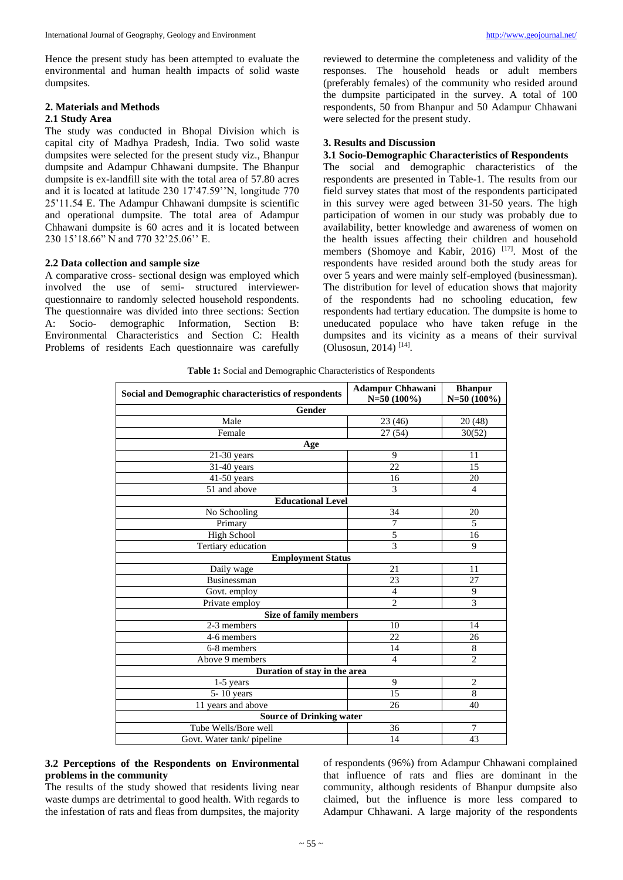Hence the present study has been attempted to evaluate the environmental and human health impacts of solid waste dumpsites.

## **2. Materials and Methods 2.1 Study Area**

The study was conducted in Bhopal Division which is capital city of Madhya Pradesh, India. Two solid waste dumpsites were selected for the present study viz., Bhanpur dumpsite and Adampur Chhawani dumpsite. The Bhanpur dumpsite is ex-landfill site with the total area of 57.80 acres and it is located at latitude 230 17'47.59''N, longitude 770 25'11.54 E. The Adampur Chhawani dumpsite is scientific and operational dumpsite. The total area of Adampur Chhawani dumpsite is 60 acres and it is located between 230 15'18.66" N and 770 32'25.06'' E.

## **2.2 Data collection and sample size**

A comparative cross- sectional design was employed which involved the use of semi- structured interviewerquestionnaire to randomly selected household respondents. The questionnaire was divided into three sections: Section A: Socio- demographic Information, Section B: A: Socio- demographic Information, Environmental Characteristics and Section C: Health Problems of residents Each questionnaire was carefully

reviewed to determine the completeness and validity of the responses. The household heads or adult members (preferably females) of the community who resided around the dumpsite participated in the survey. A total of 100 respondents, 50 from Bhanpur and 50 Adampur Chhawani were selected for the present study.

### **3. Results and Discussion**

#### **3.1 Socio-Demographic Characteristics of Respondents**

The social and demographic characteristics of the respondents are presented in Table-1. The results from our field survey states that most of the respondents participated in this survey were aged between 31-50 years. The high participation of women in our study was probably due to availability, better knowledge and awareness of women on the health issues affecting their children and household members (Shomoye and Kabir, 2016)  $^{[17]}$ . Most of the respondents have resided around both the study areas for over 5 years and were mainly self-employed (businessman). The distribution for level of education shows that majority of the respondents had no schooling education, few respondents had tertiary education. The dumpsite is home to uneducated populace who have taken refuge in the dumpsites and its vicinity as a means of their survival (Olusosun, 2014) [14] .

**Table 1:** Social and Demographic Characteristics of Respondents

| Social and Demographic characteristics of respondents | <b>Adampur Chhawani</b><br>$N=50(100\%)$ | <b>Bhanpur</b><br>$N=50(100\%)$ |
|-------------------------------------------------------|------------------------------------------|---------------------------------|
| Gender                                                |                                          |                                 |
| Male                                                  | 23 (46)                                  | 20(48)                          |
| Female                                                | 27 (54)                                  | 30(52)                          |
| Age                                                   |                                          |                                 |
| $21-30$ years                                         | 9                                        | 11                              |
| $31-40$ years                                         | 22                                       | 15                              |
| $41-50$ years                                         | 16                                       | 20                              |
| 51 and above                                          | 3                                        | $\overline{4}$                  |
| <b>Educational Level</b>                              |                                          |                                 |
| No Schooling                                          | 34                                       | 20                              |
| Primary                                               | 7                                        | 5                               |
| <b>High School</b>                                    | 5                                        | 16                              |
| Tertiary education                                    | 3                                        | 9                               |
| <b>Employment Status</b>                              |                                          |                                 |
| Daily wage                                            | 21                                       | 11                              |
| Businessman                                           | 23                                       | 27                              |
| Govt. employ                                          | $\overline{4}$                           | 9                               |
| Private employ                                        | $\overline{c}$                           | 3                               |
| <b>Size of family members</b>                         |                                          |                                 |
| 2-3 members                                           | 10                                       | 14                              |
| 4-6 members                                           | 22                                       | 26                              |
| 6-8 members                                           | 14                                       | 8                               |
| Above 9 members                                       | $\overline{\mathcal{L}}$                 | $\overline{c}$                  |
| Duration of stay in the area                          |                                          |                                 |
| 1-5 years                                             | 9                                        | $\overline{2}$                  |
| 5-10 years                                            | 15                                       | 8                               |
| 11 years and above                                    | 26                                       | 40                              |
| <b>Source of Drinking water</b>                       |                                          |                                 |
| Tube Wells/Bore well                                  | 36                                       | 7                               |
| Govt. Water tank/pipeline                             | 14                                       | 43                              |

## **3.2 Perceptions of the Respondents on Environmental problems in the community**

The results of the study showed that residents living near waste dumps are detrimental to good health. With regards to the infestation of rats and fleas from dumpsites, the majority

of respondents (96%) from Adampur Chhawani complained that influence of rats and flies are dominant in the community, although residents of Bhanpur dumpsite also claimed, but the influence is more less compared to Adampur Chhawani. A large majority of the respondents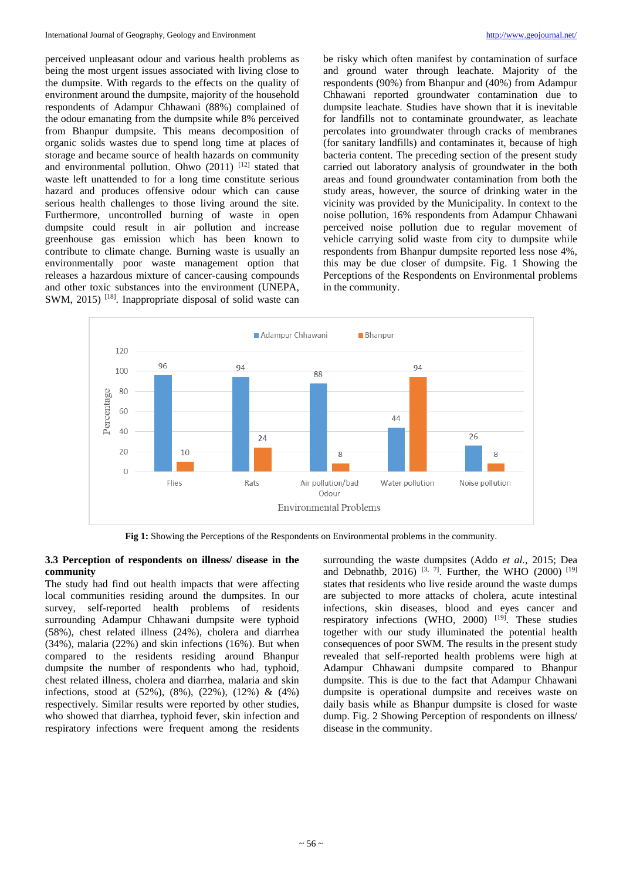perceived unpleasant odour and various health problems as being the most urgent issues associated with living close to the dumpsite. With regards to the effects on the quality of environment around the dumpsite, majority of the household respondents of Adampur Chhawani (88%) complained of the odour emanating from the dumpsite while 8% perceived from Bhanpur dumpsite. This means decomposition of organic solids wastes due to spend long time at places of storage and became source of health hazards on community and environmental pollution. Ohwo  $(2011)^{-[12]}$  stated that waste left unattended to for a long time constitute serious hazard and produces offensive odour which can cause serious health challenges to those living around the site. Furthermore, uncontrolled burning of waste in open dumpsite could result in air pollution and increase greenhouse gas emission which has been known to contribute to climate change. Burning waste is usually an environmentally poor waste management option that releases a hazardous mixture of cancer-causing compounds and other toxic substances into the environment (UNEPA, SWM, 2015)<sup>[18]</sup>. Inappropriate disposal of solid waste can

be risky which often manifest by contamination of surface and ground water through leachate. Majority of the respondents (90%) from Bhanpur and (40%) from Adampur Chhawani reported groundwater contamination due to dumpsite leachate. Studies have shown that it is inevitable for landfills not to contaminate groundwater, as leachate percolates into groundwater through cracks of membranes (for sanitary landfills) and contaminates it, because of high bacteria content. The preceding section of the present study carried out laboratory analysis of groundwater in the both areas and found groundwater contamination from both the study areas, however, the source of drinking water in the vicinity was provided by the Municipality. In context to the noise pollution, 16% respondents from Adampur Chhawani perceived noise pollution due to regular movement of vehicle carrying solid waste from city to dumpsite while respondents from Bhanpur dumpsite reported less nose 4%, this may be due closer of dumpsite. Fig. 1 Showing the Perceptions of the Respondents on Environmental problems in the community.



**Fig 1:** Showing the Perceptions of the Respondents on Environmental problems in the community.

#### **3.3 Perception of respondents on illness/ disease in the community**

The study had find out health impacts that were affecting local communities residing around the dumpsites. In our survey, self-reported health problems of residents surrounding Adampur Chhawani dumpsite were typhoid (58%), chest related illness (24%), cholera and diarrhea (34%), malaria (22%) and skin infections (16%). But when compared to the residents residing around Bhanpur dumpsite the number of respondents who had, typhoid, chest related illness, cholera and diarrhea, malaria and skin infections, stood at (52%), (8%), (22%), (12%) & (4%) respectively. Similar results were reported by other studies, who showed that diarrhea, typhoid fever, skin infection and respiratory infections were frequent among the residents

surrounding the waste dumpsites (Addo *et al.,* 2015; Dea and Debnathb, 2016) <sup>[3, 7]</sup>. Further, the WHO (2000) <sup>[19]</sup> states that residents who live reside around the waste dumps are subjected to more attacks of cholera, acute intestinal infections, skin diseases, blood and eyes cancer and respiratory infections (WHO, 2000) <sup>[19]</sup>. These studies together with our study illuminated the potential health consequences of poor SWM. The results in the present study revealed that self-reported health problems were high at Adampur Chhawani dumpsite compared to Bhanpur dumpsite. This is due to the fact that Adampur Chhawani dumpsite is operational dumpsite and receives waste on daily basis while as Bhanpur dumpsite is closed for waste dump. Fig. 2 Showing Perception of respondents on illness/ disease in the community.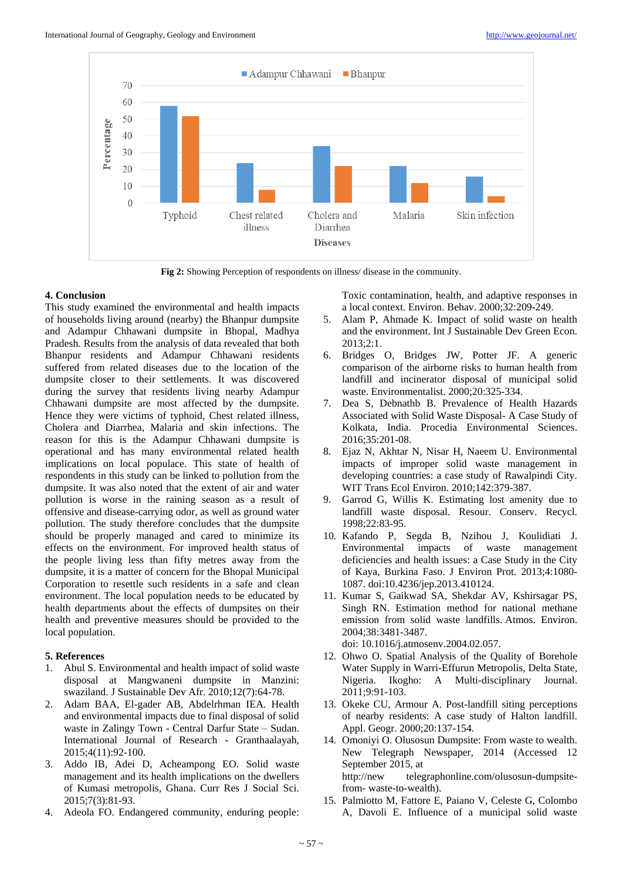

**Fig 2:** Showing Perception of respondents on illness/ disease in the community.

### **4. Conclusion**

This study examined the environmental and health impacts of households living around (nearby) the Bhanpur dumpsite and Adampur Chhawani dumpsite in Bhopal, Madhya Pradesh. Results from the analysis of data revealed that both Bhanpur residents and Adampur Chhawani residents suffered from related diseases due to the location of the dumpsite closer to their settlements. It was discovered during the survey that residents living nearby Adampur Chhawani dumpsite are most affected by the dumpsite. Hence they were victims of typhoid, Chest related illness, Cholera and Diarrhea, Malaria and skin infections. The reason for this is the Adampur Chhawani dumpsite is operational and has many environmental related health implications on local populace. This state of health of respondents in this study can be linked to pollution from the dumpsite. It was also noted that the extent of air and water pollution is worse in the raining season as a result of offensive and disease-carrying odor, as well as ground water pollution. The study therefore concludes that the dumpsite should be properly managed and cared to minimize its effects on the environment. For improved health status of the people living less than fifty metres away from the dumpsite, it is a matter of concern for the Bhopal Municipal Corporation to resettle such residents in a safe and clean environment. The local population needs to be educated by health departments about the effects of dumpsites on their health and preventive measures should be provided to the local population.

## **5. References**

- 1. Abul S. Environmental and health impact of solid waste disposal at Mangwaneni dumpsite in Manzini: swaziland. J Sustainable Dev Afr. 2010;12(7):64-78.
- 2. Adam BAA, El-gader AB, Abdelrhman IEA. Health and environmental impacts due to final disposal of solid waste in Zalingy Town - Central Darfur State – Sudan. International Journal of Research - Granthaalayah, 2015;4(11):92-100.
- 3. Addo IB, Adei D, Acheampong EO. Solid waste management and its health implications on the dwellers of Kumasi metropolis, Ghana. Curr Res J Social Sci. 2015;7(3):81-93.
- 4. Adeola FO. Endangered community, enduring people:

Toxic contamination, health, and adaptive responses in a local context. Environ. Behav. 2000;32:209-249.

- 5. Alam P, Ahmade K. Impact of solid waste on health and the environment. Int J Sustainable Dev Green Econ. 2013;2:1.
- 6. Bridges O, Bridges JW, Potter JF. A generic comparison of the airborne risks to human health from landfill and incinerator disposal of municipal solid waste. Environmentalist. 2000;20:325-334.
- 7. Dea S, Debnathb B. Prevalence of Health Hazards Associated with Solid Waste Disposal- A Case Study of Kolkata, India. Procedia Environmental Sciences. 2016;35:201-08.
- 8. Ejaz N, Akhtar N, Nisar H, Naeem U. Environmental impacts of improper solid waste management in developing countries: a case study of Rawalpindi City*.*  WIT Trans Ecol Environ. 2010;142:379-387.
- 9. Garrod G, Willis K. Estimating lost amenity due to landfill waste disposal. Resour. Conserv. Recycl. 1998;22:83-95.
- 10. Kafando P, Segda B, Nzihou J, Koulidiati J. Environmental impacts of waste management deficiencies and health issues: a Case Study in the City of Kaya, Burkina Faso. J Environ Prot. 2013;4:1080- 1087. doi:10.4236/jep.2013.410124.
- 11. Kumar S, Gaikwad SA, Shekdar AV, Kshirsagar PS, Singh RN. Estimation method for national methane emission from solid waste landfills. Atmos. Environ. 2004;38:3481-3487.

doi: 10.1016/j.atmosenv.2004.02.057.

- 12. Ohwo O. Spatial Analysis of the Quality of Borehole Water Supply in Warri-Effurun Metropolis, Delta State, Nigeria. Ikogho: A Multi-disciplinary Journal. 2011;9:91-103.
- 13. Okeke CU, Armour A. Post-landfill siting perceptions of nearby residents: A case study of Halton landfill. Appl. Geogr. 2000;20:137-154.
- 14. Omoniyi O. Olusosun Dumpsite: From waste to wealth. New Telegraph Newspaper, 2014 (Accessed 12 September 2015, at http://new telegraphonline.com/olusosun-dumpsitefrom- waste-to-wealth).
- 15. Palmiotto M, Fattore E, Paiano V, Celeste G, Colombo A, Davoli E. Influence of a municipal solid waste